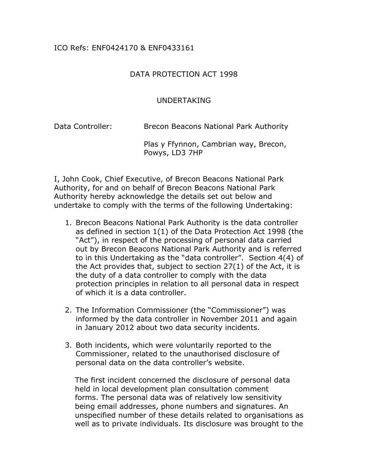## ICO Refs: ENF0424170 & ENF0433161

## DATA PROTECTION ACT 1998

## UNDERTAKING

Data Controller: Brecon Beacons National Park Authority

Plas y Ffynnon, Cambrian way, Brecon, Powys, LD3 7HP

I, John Cook, Chief Executive, of Brecon Beacons National Park Authority, for and on behalf of Brecon Beacons National Park Authority hereby acknowledge the details set out below and undertake to comply with the terms of the following Undertaking:

- 1. Brecon Beacons National Park Authority is the data controller as defined in section 1(1) of the Data Protection Act 1998 (the "Act"), in respect of the processing of personal data carried out by Brecon Beacons National Park Authority and is referred to in this Undertaking as the "data controller". Section 4(4) of the Act provides that, subject to section 27(1) of the Act, it is the duty of a data controller to comply with the data protection principles in relation to all personal data in respect of which it is a data controller.
- 2. The Information Commissioner (the "Commissioner") was informed by the data controller in November 2011 and again in January 2012 about two data security incidents.
- 3. Both incidents, which were voluntarily reported to the Commissioner, related to the unauthorised disclosure of personal data on the data controller's website.

 The first incident concerned the disclosure of personal data held in local development plan consultation comment forms. The personal data was of relatively low sensitivity being email addresses, phone numbers and signatures. An unspecified number of these details related to organisations as well as to private individuals. Its disclosure was brought to the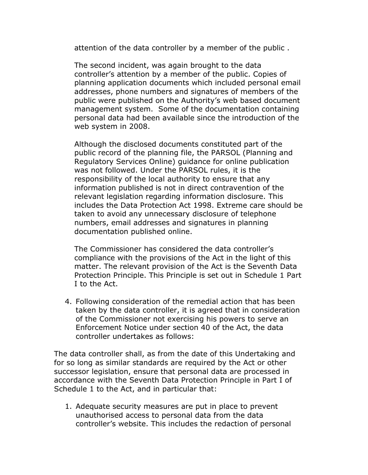attention of the data controller by a member of the public .

 The second incident, was again brought to the data controller's attention by a member of the public. Copies of planning application documents which included personal email addresses, phone numbers and signatures of members of the public were published on the Authority's web based document management system. Some of the documentation containing personal data had been available since the introduction of the web system in 2008.

 Although the disclosed documents constituted part of the public record of the planning file, the PARSOL (Planning and Regulatory Services Online) guidance for online publication was not followed. Under the PARSOL rules, it is the responsibility of the local authority to ensure that any information published is not in direct contravention of the relevant legislation regarding information disclosure. This includes the Data Protection Act 1998. Extreme care should be taken to avoid any unnecessary disclosure of telephone numbers, email addresses and signatures in planning documentation published online.

 The Commissioner has considered the data controller's compliance with the provisions of the Act in the light of this matter. The relevant provision of the Act is the Seventh Data Protection Principle. This Principle is set out in Schedule 1 Part I to the Act.

4. Following consideration of the remedial action that has been taken by the data controller, it is agreed that in consideration of the Commissioner not exercising his powers to serve an Enforcement Notice under section 40 of the Act, the data controller undertakes as follows:

The data controller shall, as from the date of this Undertaking and for so long as similar standards are required by the Act or other successor legislation, ensure that personal data are processed in accordance with the Seventh Data Protection Principle in Part I of Schedule 1 to the Act, and in particular that:

1. Adequate security measures are put in place to prevent unauthorised access to personal data from the data controller's website. This includes the redaction of personal